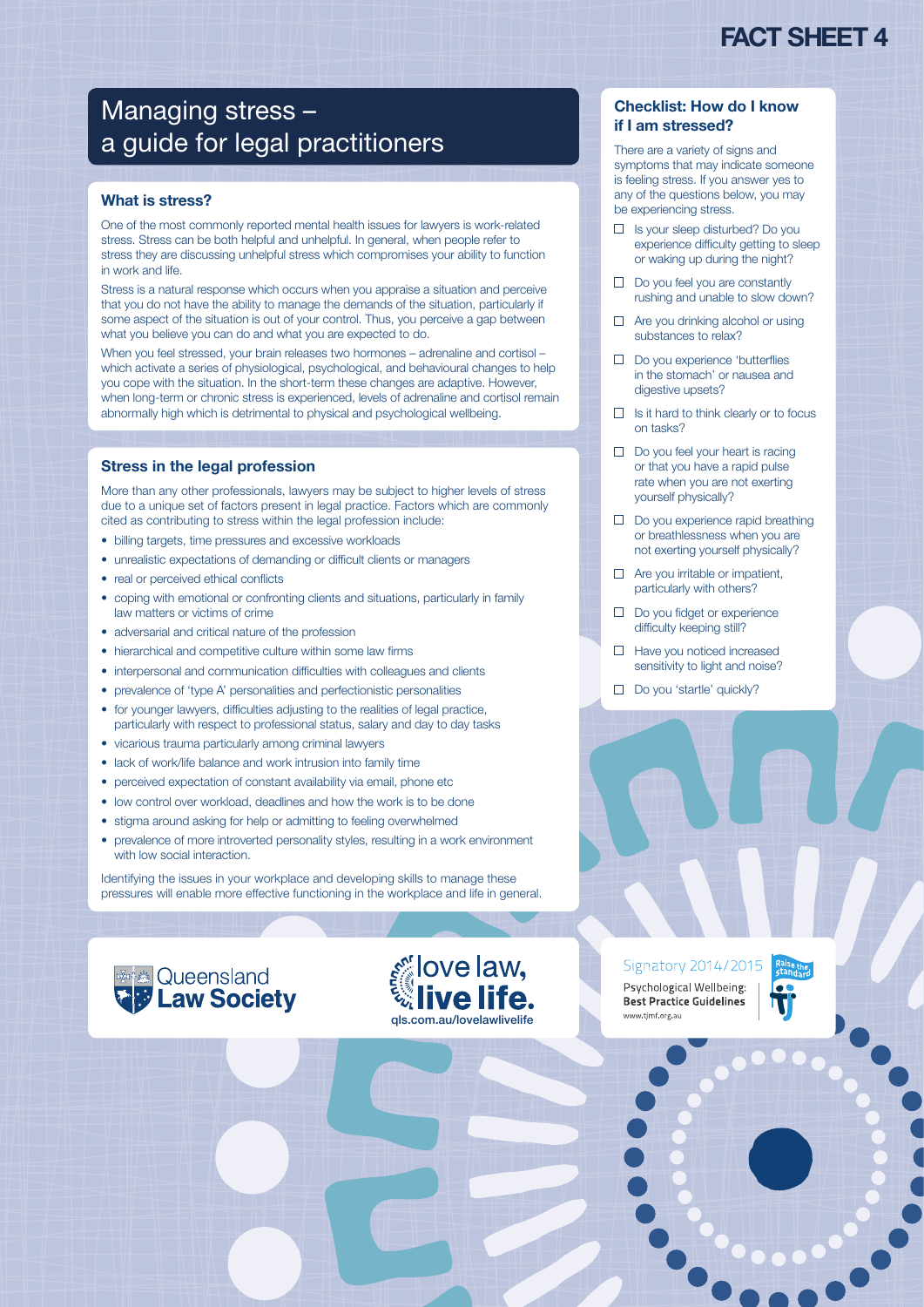# FACT SHEET 4

# Managing stress – a guide for legal practitioners

### What is stress?

One of the most commonly reported mental health issues for lawyers is work-related stress. Stress can be both helpful and unhelpful. In general, when people refer to stress they are discussing unhelpful stress which compromises your ability to function in work and life.

Stress is a natural response which occurs when you appraise a situation and perceive that you do not have the ability to manage the demands of the situation, particularly if some aspect of the situation is out of your control. Thus, you perceive a gap between what you believe you can do and what you are expected to do.

When you feel stressed, your brain releases two hormones – adrenaline and cortisol – which activate a series of physiological, psychological, and behavioural changes to help you cope with the situation. In the short-term these changes are adaptive. However, when long-term or chronic stress is experienced, levels of adrenaline and cortisol remain abnormally high which is detrimental to physical and psychological wellbeing.

### Stress in the legal profession

More than any other professionals, lawyers may be subject to higher levels of stress due to a unique set of factors present in legal practice. Factors which are commonly cited as contributing to stress within the legal profession include:

- billing targets, time pressures and excessive workloads
- unrealistic expectations of demanding or difficult clients or managers
- real or perceived ethical conflicts
- coping with emotional or confronting clients and situations, particularly in family law matters or victims of crime
- adversarial and critical nature of the profession
- hierarchical and competitive culture within some law firms
- interpersonal and communication difficulties with colleagues and clients
- prevalence of 'type A' personalities and perfectionistic personalities
- for younger lawyers, difficulties adjusting to the realities of legal practice, particularly with respect to professional status, salary and day to day tasks
- vicarious trauma particularly among criminal lawyers
- lack of work/life balance and work intrusion into family time
- perceived expectation of constant availability via email, phone etc
- low control over workload, deadlines and how the work is to be done
- stigma around asking for help or admitting to feeling overwhelmed
- prevalence of more introverted personality styles, resulting in a work environment with low social interaction.

Identifying the issues in your workplace and developing skills to manage these pressures will enable more effective functioning in the workplace and life in general.





Signatory 2014/2015 Psychological Wellbeing: **Best Practice Guidelines** ww.timf.org.au



## Checklist: How do I know if I am stressed?

There are a variety of signs and symptoms that may indicate someone is feeling stress. If you answer yes to any of the questions below, you may be experiencing stress.

- Is your sleep disturbed? Do you experience difficulty getting to sleep or waking up during the night?
- $\Box$  Do you feel you are constantly rushing and unable to slow down?
- $\Box$  Are you drinking alcohol or using substances to relax?
- Do you experience 'butterflies in the stomach' or nausea and digestive upsets?
- $\Box$  Is it hard to think clearly or to focus on tasks?
- $\Box$  Do you feel your heart is racing or that you have a rapid pulse rate when you are not exerting yourself physically?
- $\Box$  Do you experience rapid breathing or breathlessness when you are not exerting yourself physically?
- $\Box$  Are you irritable or impatient, particularly with others?
- D Do you fidget or experience difficulty keeping still?
- $\Box$  Have you noticed increased sensitivity to light and noise?
- Do you 'startle' quickly?